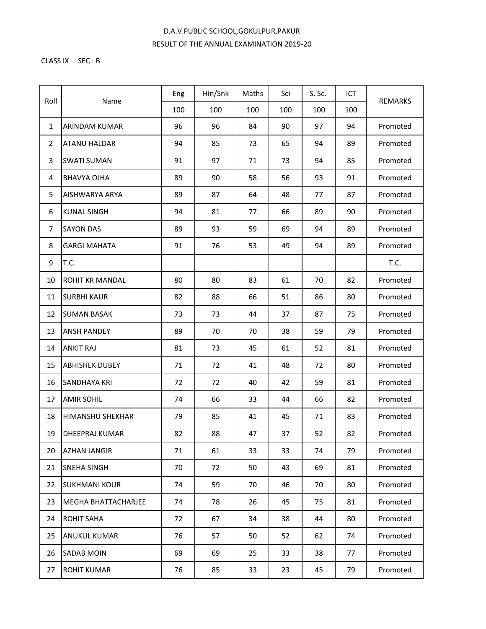## D.A.V.PUBLIC SCHOOL,GOKULPUR,PAKUR RESULT OF THE ANNUAL EXAMINATION 2019-20

## CLASS IX SEC : B

| Roll           | Name                       | Eng | Hin/Snk | Maths | Sci | S. Sc. | ICT | <b>REMARKS</b> |
|----------------|----------------------------|-----|---------|-------|-----|--------|-----|----------------|
|                |                            | 100 | 100     | 100   | 100 | 100    | 100 |                |
| $\mathbf{1}$   | ARINDAM KUMAR              | 96  | 96      | 84    | 90  | 97     | 94  | Promoted       |
| $\overline{2}$ | <b>ATANU HALDAR</b>        | 94  | 85      | 73    | 65  | 94     | 89  | Promoted       |
| 3              | <b>SWATI SUMAN</b>         | 91  | 97      | 71    | 73  | 94     | 85  | Promoted       |
| 4              | <b>BHAVYA OJHA</b>         | 89  | 90      | 58    | 56  | 93     | 91  | Promoted       |
| 5              | AISHWARYA ARYA             | 89  | 87      | 64    | 48  | 77     | 87  | Promoted       |
| 6              | <b>KUNAL SINGH</b>         | 94  | 81      | 77    | 66  | 89     | 90  | Promoted       |
| 7              | <b>SAYON DAS</b>           | 89  | 93      | 59    | 69  | 94     | 89  | Promoted       |
| 8              | <b>GARGI MAHATA</b>        | 91  | 76      | 53    | 49  | 94     | 89  | Promoted       |
| 9              | T.C.                       |     |         |       |     |        |     | T.C.           |
| 10             | ROHIT KR MANDAL            | 80  | 80      | 83    | 61  | 70     | 82  | Promoted       |
| 11             | <b>SURBHI KAUR</b>         | 82  | 88      | 66    | 51  | 86     | 80  | Promoted       |
| 12             | <b>SUMAN BASAK</b>         | 73  | 73      | 44    | 37  | 87     | 75  | Promoted       |
| 13             | <b>ANSH PANDEY</b>         | 89  | 70      | 70    | 38  | 59     | 79  | Promoted       |
| 14             | <b>ANKIT RAJ</b>           | 81  | 73      | 45    | 61  | 52     | 81  | Promoted       |
| 15             | <b>ABHISHEK DUBEY</b>      | 71  | 72      | 41    | 48  | 72     | 80  | Promoted       |
| 16             | <b>SANDHAYA KRI</b>        | 72  | 72      | 40    | 42  | 59     | 81  | Promoted       |
| 17             | <b>AMIR SOHIL</b>          | 74  | 66      | 33    | 44  | 66     | 82  | Promoted       |
| 18             | <b>HIMANSHU SHEKHAR</b>    | 79  | 85      | 41    | 45  | 71     | 83  | Promoted       |
| 19             | <b>DHEEPRAJ KUMAR</b>      | 82  | 88      | 47    | 37  | 52     | 82  | Promoted       |
| 20             | <b>AZHAN JANGIR</b>        | 71  | 61      | 33    | 33  | 74     | 79  | Promoted       |
| 21             | <b>SNEHA SINGH</b>         | 70  | 72      | 50    | 43  | 69     | 81  | Promoted       |
| 22             | <b>SUKHMANI KOUR</b>       | 74  | 59      | 70    | 46  | 70     | 80  | Promoted       |
| 23             | <b>MEGHA BHATTACHARJEE</b> | 74  | 78      | 26    | 45  | 75     | 81  | Promoted       |
| 24             | <b>ROHIT SAHA</b>          | 72  | 67      | 34    | 38  | 44     | 80  | Promoted       |
| 25             | <b>ANUKUL KUMAR</b>        | 76  | 57      | 50    | 52  | 62     | 74  | Promoted       |
| 26             | <b>SADAB MOIN</b>          | 69  | 69      | 25    | 33  | 38     | 77  | Promoted       |
| 27             | <b>ROHIT KUMAR</b>         | 76  | 85      | 33    | 23  | 45     | 79  | Promoted       |